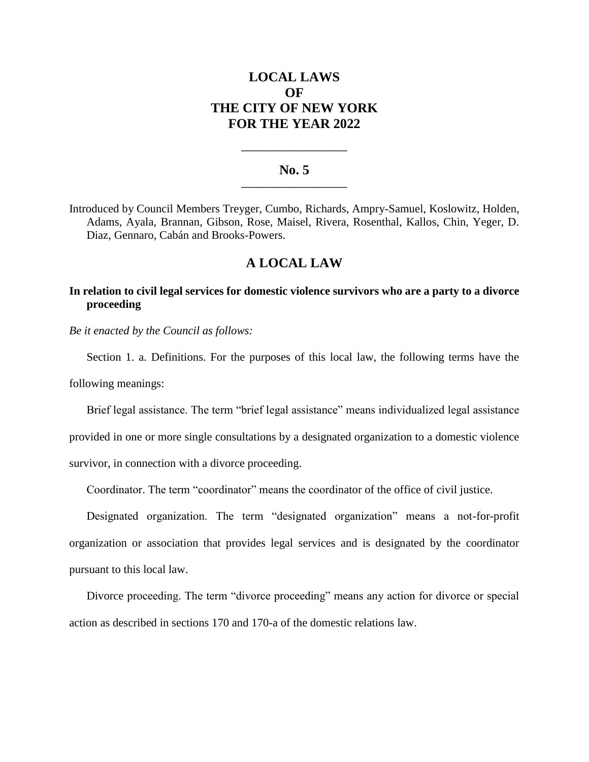# **LOCAL LAWS OF THE CITY OF NEW YORK FOR THE YEAR 2022**

#### **No. 5 \_\_\_\_\_\_\_\_\_\_\_\_\_\_\_\_\_\_\_\_\_\_**

**\_\_\_\_\_\_\_\_\_\_\_\_\_\_\_\_\_\_\_\_\_\_**

Introduced by Council Members Treyger, Cumbo, Richards, Ampry-Samuel, Koslowitz, Holden, Adams, Ayala, Brannan, Gibson, Rose, Maisel, Rivera, Rosenthal, Kallos, Chin, Yeger, D. Diaz, Gennaro, Cabán and Brooks-Powers.

## **A LOCAL LAW**

## **In relation to civil legal services for domestic violence survivors who are a party to a divorce proceeding**

*Be it enacted by the Council as follows:*

Section 1. a. Definitions. For the purposes of this local law, the following terms have the following meanings:

Brief legal assistance. The term "brief legal assistance" means individualized legal assistance provided in one or more single consultations by a designated organization to a domestic violence survivor, in connection with a divorce proceeding.

Coordinator. The term "coordinator" means the coordinator of the office of civil justice.

Designated organization. The term "designated organization" means a not-for-profit organization or association that provides legal services and is designated by the coordinator pursuant to this local law.

Divorce proceeding. The term "divorce proceeding" means any action for divorce or special action as described in sections 170 and 170-a of the domestic relations law.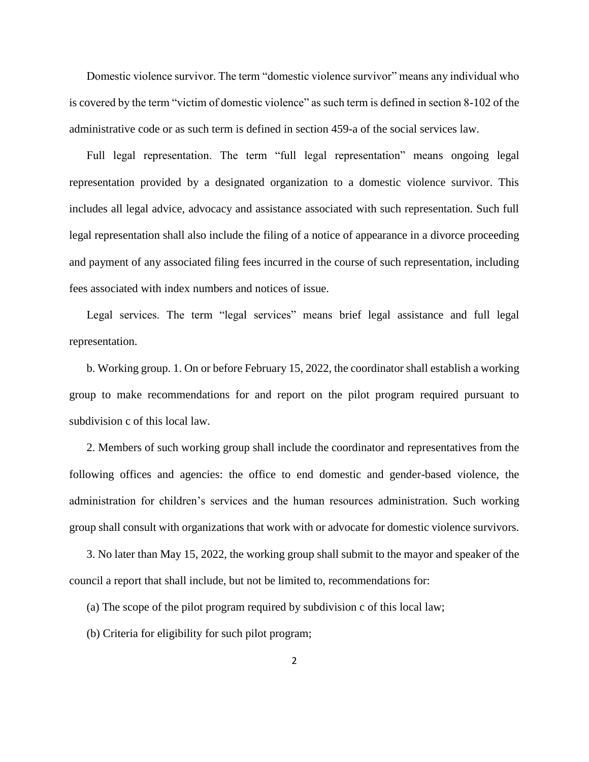Domestic violence survivor. The term "domestic violence survivor" means any individual who is covered by the term "victim of domestic violence" as such term is defined in section 8-102 of the administrative code or as such term is defined in section 459-a of the social services law.

Full legal representation. The term "full legal representation" means ongoing legal representation provided by a designated organization to a domestic violence survivor. This includes all legal advice, advocacy and assistance associated with such representation. Such full legal representation shall also include the filing of a notice of appearance in a divorce proceeding and payment of any associated filing fees incurred in the course of such representation, including fees associated with index numbers and notices of issue.

Legal services. The term "legal services" means brief legal assistance and full legal representation.

b. Working group. 1. On or before February 15, 2022, the coordinator shall establish a working group to make recommendations for and report on the pilot program required pursuant to subdivision c of this local law.

2. Members of such working group shall include the coordinator and representatives from the following offices and agencies: the office to end domestic and gender-based violence, the administration for children's services and the human resources administration. Such working group shall consult with organizations that work with or advocate for domestic violence survivors.

3. No later than May 15, 2022, the working group shall submit to the mayor and speaker of the council a report that shall include, but not be limited to, recommendations for:

(a) The scope of the pilot program required by subdivision c of this local law;

(b) Criteria for eligibility for such pilot program;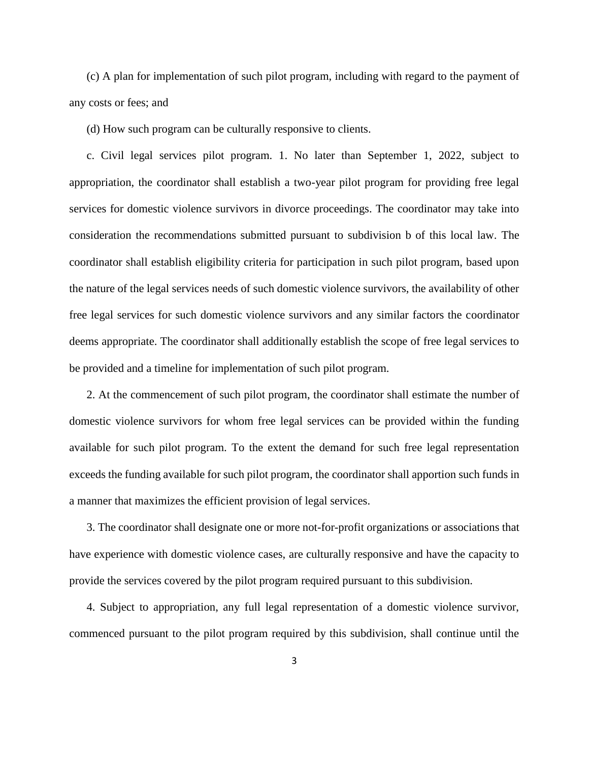(c) A plan for implementation of such pilot program, including with regard to the payment of any costs or fees; and

(d) How such program can be culturally responsive to clients.

c. Civil legal services pilot program. 1. No later than September 1, 2022, subject to appropriation, the coordinator shall establish a two-year pilot program for providing free legal services for domestic violence survivors in divorce proceedings. The coordinator may take into consideration the recommendations submitted pursuant to subdivision b of this local law. The coordinator shall establish eligibility criteria for participation in such pilot program, based upon the nature of the legal services needs of such domestic violence survivors, the availability of other free legal services for such domestic violence survivors and any similar factors the coordinator deems appropriate. The coordinator shall additionally establish the scope of free legal services to be provided and a timeline for implementation of such pilot program.

2. At the commencement of such pilot program, the coordinator shall estimate the number of domestic violence survivors for whom free legal services can be provided within the funding available for such pilot program. To the extent the demand for such free legal representation exceeds the funding available for such pilot program, the coordinator shall apportion such funds in a manner that maximizes the efficient provision of legal services.

3. The coordinator shall designate one or more not-for-profit organizations or associations that have experience with domestic violence cases, are culturally responsive and have the capacity to provide the services covered by the pilot program required pursuant to this subdivision.

4. Subject to appropriation, any full legal representation of a domestic violence survivor, commenced pursuant to the pilot program required by this subdivision, shall continue until the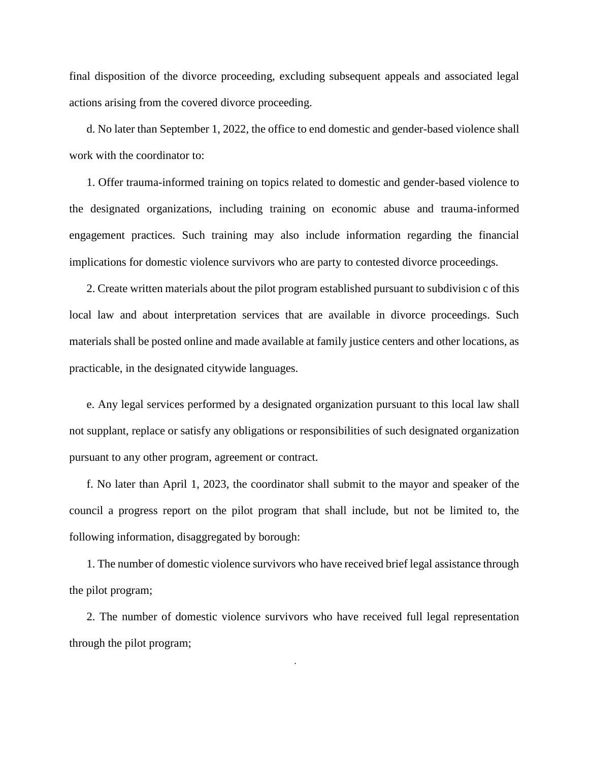final disposition of the divorce proceeding, excluding subsequent appeals and associated legal actions arising from the covered divorce proceeding.

d. No later than September 1, 2022, the office to end domestic and gender-based violence shall work with the coordinator to:

1. Offer trauma-informed training on topics related to domestic and gender-based violence to the designated organizations, including training on economic abuse and trauma-informed engagement practices. Such training may also include information regarding the financial implications for domestic violence survivors who are party to contested divorce proceedings.

2. Create written materials about the pilot program established pursuant to subdivision c of this local law and about interpretation services that are available in divorce proceedings. Such materials shall be posted online and made available at family justice centers and other locations, as practicable, in the designated citywide languages.

e. Any legal services performed by a designated organization pursuant to this local law shall not supplant, replace or satisfy any obligations or responsibilities of such designated organization pursuant to any other program, agreement or contract.

f. No later than April 1, 2023, the coordinator shall submit to the mayor and speaker of the council a progress report on the pilot program that shall include, but not be limited to, the following information, disaggregated by borough:

1. The number of domestic violence survivors who have received brief legal assistance through the pilot program;

2. The number of domestic violence survivors who have received full legal representation through the pilot program;

4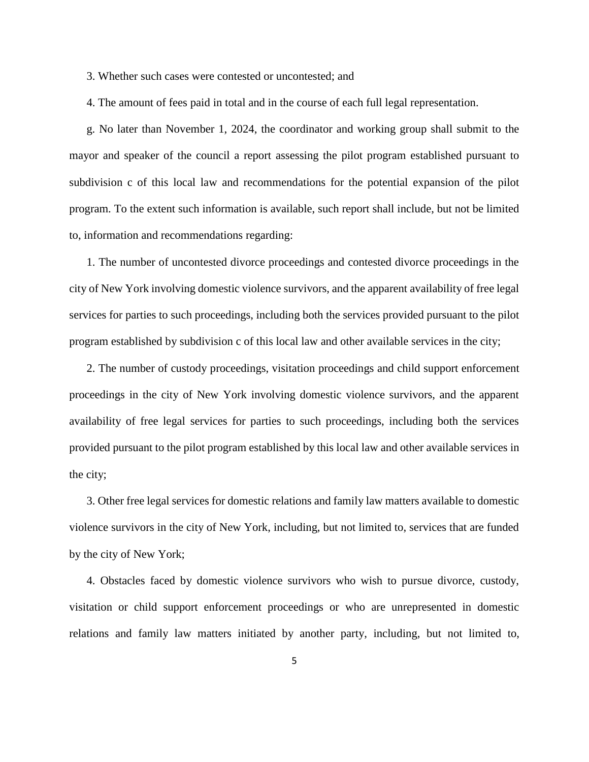3. Whether such cases were contested or uncontested; and

4. The amount of fees paid in total and in the course of each full legal representation.

g. No later than November 1, 2024, the coordinator and working group shall submit to the mayor and speaker of the council a report assessing the pilot program established pursuant to subdivision c of this local law and recommendations for the potential expansion of the pilot program. To the extent such information is available, such report shall include, but not be limited to, information and recommendations regarding:

1. The number of uncontested divorce proceedings and contested divorce proceedings in the city of New York involving domestic violence survivors, and the apparent availability of free legal services for parties to such proceedings, including both the services provided pursuant to the pilot program established by subdivision c of this local law and other available services in the city;

2. The number of custody proceedings, visitation proceedings and child support enforcement proceedings in the city of New York involving domestic violence survivors, and the apparent availability of free legal services for parties to such proceedings, including both the services provided pursuant to the pilot program established by this local law and other available services in the city;

3. Other free legal services for domestic relations and family law matters available to domestic violence survivors in the city of New York, including, but not limited to, services that are funded by the city of New York;

4. Obstacles faced by domestic violence survivors who wish to pursue divorce, custody, visitation or child support enforcement proceedings or who are unrepresented in domestic relations and family law matters initiated by another party, including, but not limited to,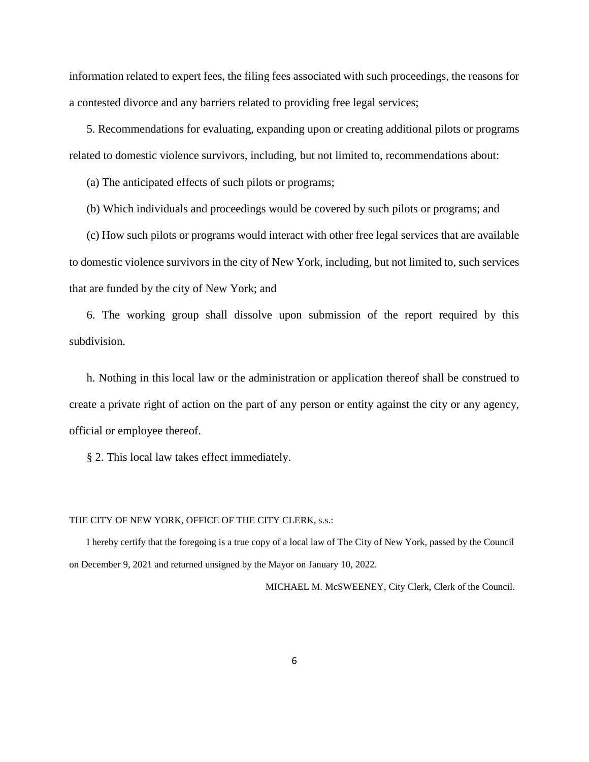information related to expert fees, the filing fees associated with such proceedings, the reasons for a contested divorce and any barriers related to providing free legal services;

5. Recommendations for evaluating, expanding upon or creating additional pilots or programs related to domestic violence survivors, including, but not limited to, recommendations about:

(a) The anticipated effects of such pilots or programs;

(b) Which individuals and proceedings would be covered by such pilots or programs; and

(c) How such pilots or programs would interact with other free legal services that are available to domestic violence survivors in the city of New York, including, but not limited to, such services that are funded by the city of New York; and

6. The working group shall dissolve upon submission of the report required by this subdivision.

h. Nothing in this local law or the administration or application thereof shall be construed to create a private right of action on the part of any person or entity against the city or any agency, official or employee thereof.

§ 2. This local law takes effect immediately.

#### THE CITY OF NEW YORK, OFFICE OF THE CITY CLERK, s.s.:

I hereby certify that the foregoing is a true copy of a local law of The City of New York, passed by the Council on December 9, 2021 and returned unsigned by the Mayor on January 10, 2022.

MICHAEL M. McSWEENEY, City Clerk, Clerk of the Council.